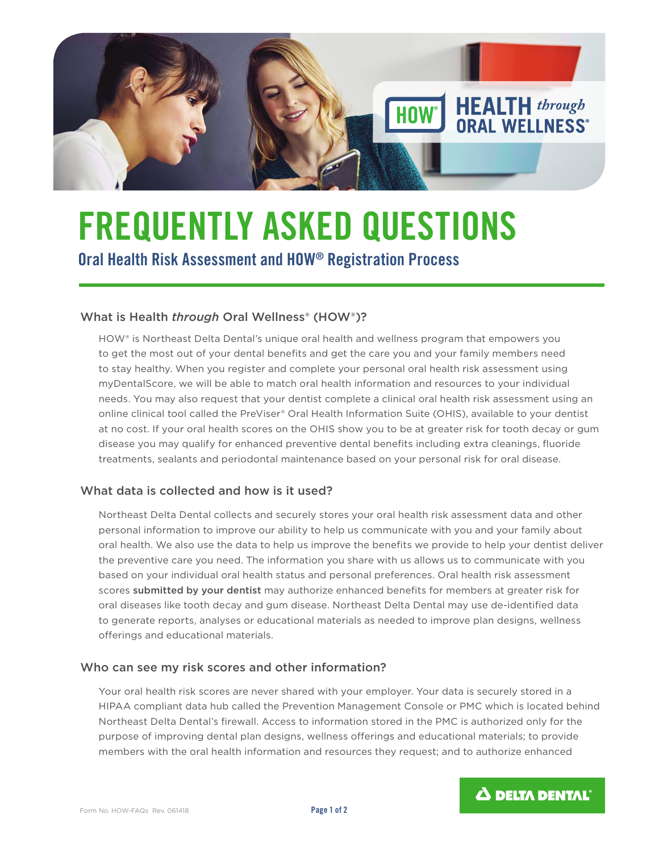

# **FREQUENTLY ASKED QUESTIONS Oral Health Risk Assessment and HOW® Registration Process**

### What is Health *through* Oral Wellness<sup>®</sup> (HOW<sup>®</sup>)?

HOW® is Northeast Delta Dental's unique oral health and wellness program that empowers you to get the most out of your dental benefits and get the care you and your family members need to stay healthy. When you register and complete your personal oral health risk assessment using myDentalScore, we will be able to match oral health information and resources to your individual needs. You may also request that your dentist complete a clinical oral health risk assessment using an online clinical tool called the PreViser® Oral Health Information Suite (OHIS), available to your dentist at no cost. If your oral health scores on the OHIS show you to be at greater risk for tooth decay or gum disease you may qualify for enhanced preventive dental benefits including extra cleanings, fluoride treatments, sealants and periodontal maintenance based on your personal risk for oral disease.

#### What data is collected and how is it used?

Northeast Delta Dental collects and securely stores your oral health risk assessment data and other personal information to improve our ability to help us communicate with you and your family about oral health. We also use the data to help us improve the benefits we provide to help your dentist deliver the preventive care you need. The information you share with us allows us to communicate with you based on your individual oral health status and personal preferences. Oral health risk assessment scores submitted by your dentist may authorize enhanced benefits for members at greater risk for oral diseases like tooth decay and gum disease. Northeast Delta Dental may use de-identified data to generate reports, analyses or educational materials as needed to improve plan designs, wellness offerings and educational materials.

#### Who can see my risk scores and other information?

Your oral health risk scores are never shared with your employer. Your data is securely stored in a HIPAA compliant data hub called the Prevention Management Console or PMC which is located behind Northeast Delta Dental's firewall. Access to information stored in the PMC is authorized only for the purpose of improving dental plan designs, wellness offerings and educational materials; to provide members with the oral health information and resources they request; and to authorize enhanced

 $\Delta$  delta dental<sup>®</sup>